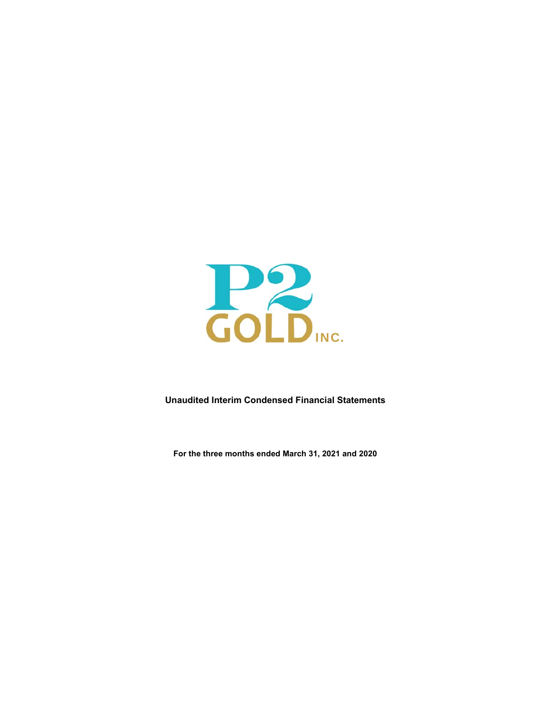

**Unaudited Interim Condensed Financial Statements**

**For the three months ended March 31, 2021 and 2020**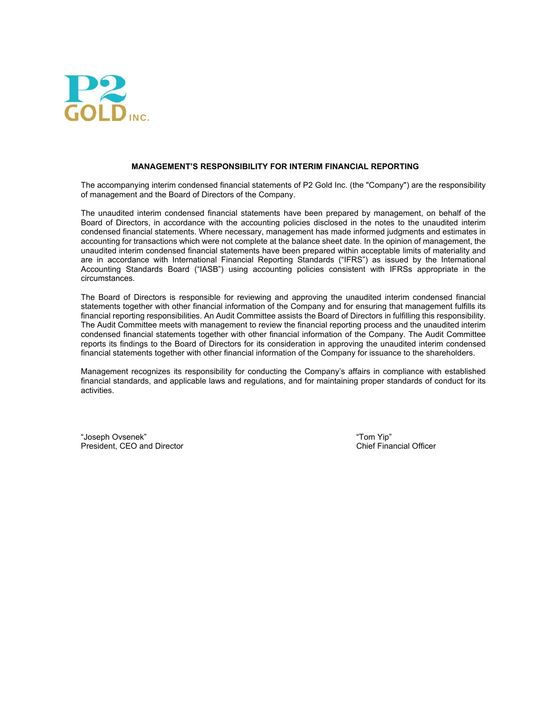

#### **MANAGEMENT'S RESPONSIBILITY FOR INTERIM FINANCIAL REPORTING**

The accompanying interim condensed financial statements of P2 Gold Inc. (the "Company") are the responsibility of management and the Board of Directors of the Company.

The unaudited interim condensed financial statements have been prepared by management, on behalf of the Board of Directors, in accordance with the accounting policies disclosed in the notes to the unaudited interim condensed financial statements. Where necessary, management has made informed judgments and estimates in accounting for transactions which were not complete at the balance sheet date. In the opinion of management, the unaudited interim condensed financial statements have been prepared within acceptable limits of materiality and are in accordance with International Financial Reporting Standards ("IFRS") as issued by the International Accounting Standards Board ("IASB") using accounting policies consistent with IFRSs appropriate in the circumstances.

The Board of Directors is responsible for reviewing and approving the unaudited interim condensed financial statements together with other financial information of the Company and for ensuring that management fulfills its financial reporting responsibilities. An Audit Committee assists the Board of Directors in fulfilling this responsibility. The Audit Committee meets with management to review the financial reporting process and the unaudited interim condensed financial statements together with other financial information of the Company. The Audit Committee reports its findings to the Board of Directors for its consideration in approving the unaudited interim condensed financial statements together with other financial information of the Company for issuance to the shareholders.

Management recognizes its responsibility for conducting the Company's affairs in compliance with established financial standards, and applicable laws and regulations, and for maintaining proper standards of conduct for its activities.

"Joseph Ovsenek" "Tom Yip" President, CEO and Director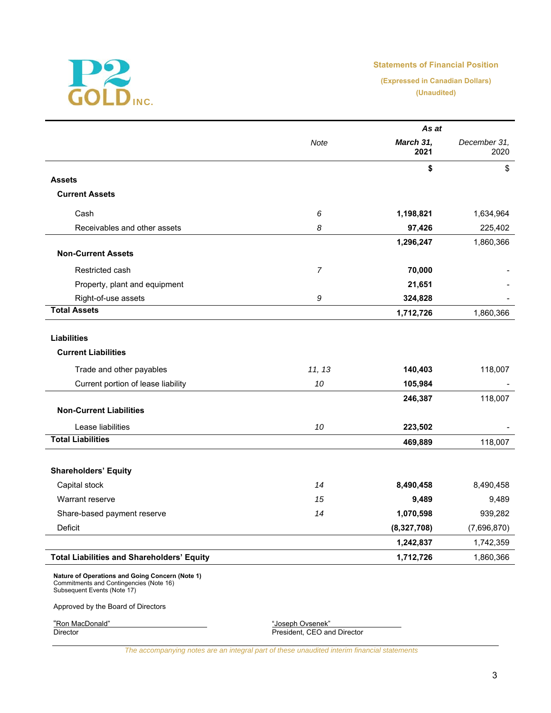

# **Statements of Financial Position**

**(Expressed in Canadian Dollars) (Unaudited)**

|                                                                                                                           |                | As at             |                      |  |
|---------------------------------------------------------------------------------------------------------------------------|----------------|-------------------|----------------------|--|
|                                                                                                                           | Note           | March 31,<br>2021 | December 31,<br>2020 |  |
|                                                                                                                           |                | \$                | \$                   |  |
| <b>Assets</b>                                                                                                             |                |                   |                      |  |
| <b>Current Assets</b>                                                                                                     |                |                   |                      |  |
| Cash                                                                                                                      | 6              | 1,198,821         | 1,634,964            |  |
| Receivables and other assets                                                                                              | 8              | 97,426            | 225,402              |  |
|                                                                                                                           |                | 1,296,247         | 1,860,366            |  |
| <b>Non-Current Assets</b>                                                                                                 |                |                   |                      |  |
| Restricted cash                                                                                                           | $\overline{7}$ | 70,000            |                      |  |
| Property, plant and equipment                                                                                             |                | 21,651            |                      |  |
| Right-of-use assets                                                                                                       | 9              | 324,828           |                      |  |
| <b>Total Assets</b>                                                                                                       |                | 1,712,726         | 1,860,366            |  |
|                                                                                                                           |                |                   |                      |  |
| <b>Liabilities</b>                                                                                                        |                |                   |                      |  |
| <b>Current Liabilities</b>                                                                                                |                |                   |                      |  |
| Trade and other payables                                                                                                  | 11, 13         | 140,403           | 118,007              |  |
| Current portion of lease liability                                                                                        | 10             | 105,984           |                      |  |
|                                                                                                                           |                | 246,387           | 118,007              |  |
| <b>Non-Current Liabilities</b>                                                                                            |                |                   |                      |  |
| Lease liabilities                                                                                                         | 10             | 223,502           |                      |  |
| <b>Total Liabilities</b>                                                                                                  |                | 469,889           | 118,007              |  |
|                                                                                                                           |                |                   |                      |  |
| <b>Shareholders' Equity</b>                                                                                               |                |                   |                      |  |
| Capital stock                                                                                                             | 14             | 8,490,458         | 8,490,458            |  |
| Warrant reserve                                                                                                           | 15             | 9,489             | 9,489                |  |
| Share-based payment reserve                                                                                               | 14             | 1,070,598         | 939,282              |  |
| Deficit                                                                                                                   |                | (8,327,708)       | (7,696,870)          |  |
|                                                                                                                           |                | 1,242,837         | 1,742,359            |  |
| <b>Total Liabilities and Shareholders' Equity</b>                                                                         |                | 1,712,726         | 1,860,366            |  |
| Nature of Operations and Going Concern (Note 1)<br>Commitments and Contingencies (Note 16)<br>Subsequent Events (Note 17) |                |                   |                      |  |

Approved by the Board of Directors

"Ron MacDonald" "Joseph Ovsenek" Director President, CEO and Director

*The accompanying notes are an integral part of these unaudited interim financial statements*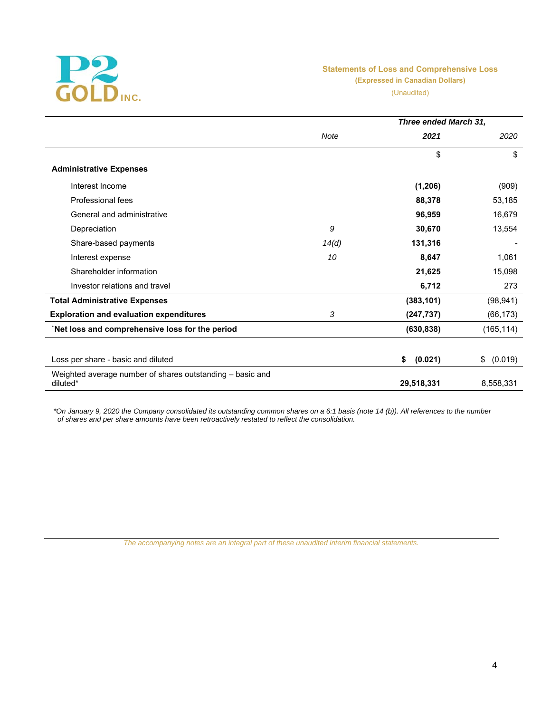

# **Statements of Loss and Comprehensive Loss (Expressed in Canadian Dollars)**

(Unaudited)

|                                                                       |       | Three ended March 31, |               |  |  |
|-----------------------------------------------------------------------|-------|-----------------------|---------------|--|--|
|                                                                       | Note  | 2021                  | 2020          |  |  |
|                                                                       |       | \$                    | \$            |  |  |
| <b>Administrative Expenses</b>                                        |       |                       |               |  |  |
| Interest Income                                                       |       | (1, 206)              | (909)         |  |  |
| Professional fees                                                     |       | 88,378                | 53,185        |  |  |
| General and administrative                                            |       | 96,959                | 16,679        |  |  |
| Depreciation                                                          | 9     | 30,670                | 13,554        |  |  |
| Share-based payments                                                  | 14(d) | 131,316               |               |  |  |
| Interest expense                                                      | 10    | 8,647                 | 1,061         |  |  |
| Shareholder information                                               |       | 21,625                | 15,098        |  |  |
| Investor relations and travel                                         |       | 6,712                 | 273           |  |  |
| <b>Total Administrative Expenses</b>                                  |       | (383, 101)            | (98, 941)     |  |  |
| <b>Exploration and evaluation expenditures</b>                        | 3     | (247, 737)            | (66, 173)     |  |  |
| Net loss and comprehensive loss for the period                        |       | (630, 838)            | (165, 114)    |  |  |
| Loss per share - basic and diluted                                    |       | (0.021)<br>\$         | \$<br>(0.019) |  |  |
| Weighted average number of shares outstanding - basic and<br>diluted* |       | 29,518,331            | 8,558,331     |  |  |

*\*On January 9, 2020 the Company consolidated its outstanding common shares on a 6:1 basis (note 14 (b)). All references to the number of shares and per share amounts have been retroactively restated to reflect the consolidation.* 

*The accompanying notes are an integral part of these unaudited interim financial statements.*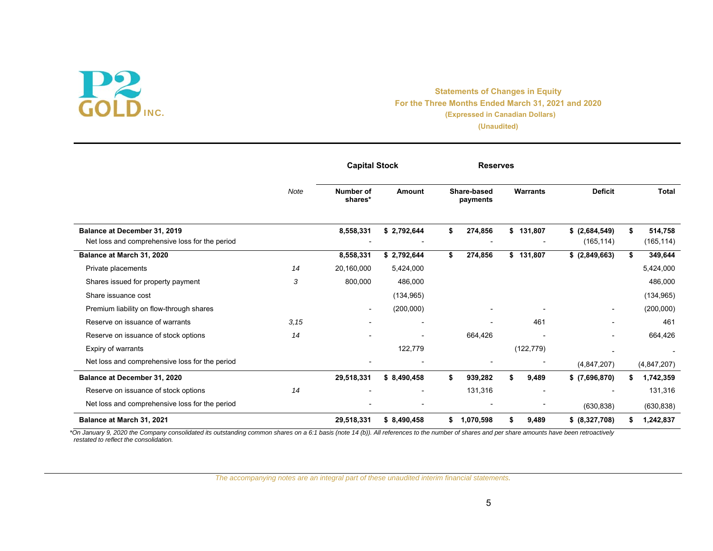# INC.

# **Statements of Changes in Equity For the Three Months Ended March 31, 2021 and 2020 (Expressed in Canadian Dollars) (Unaudited)**

|                                                                                |      | <b>Capital Stock</b>        |             | <b>Reserves</b>         |                 |                               |                       |
|--------------------------------------------------------------------------------|------|-----------------------------|-------------|-------------------------|-----------------|-------------------------------|-----------------------|
|                                                                                | Note | <b>Number of</b><br>shares* | Amount      | Share-based<br>payments | <b>Warrants</b> | <b>Deficit</b>                | <b>Total</b>          |
| Balance at December 31, 2019<br>Net loss and comprehensive loss for the period |      | 8,558,331                   | \$2,792,644 | \$<br>274,856           | \$131,807       | $$$ (2,684,549)<br>(165, 114) | 514,758<br>(165, 114) |
| Balance at March 31, 2020                                                      |      | 8,558,331                   | \$2,792,644 | \$<br>274,856           | \$131,807       | \$ (2,849,663)                | 349,644               |
| Private placements                                                             | 14   | 20,160,000                  | 5,424,000   |                         |                 |                               | 5,424,000             |
| Shares issued for property payment                                             | 3    | 800,000                     | 486,000     |                         |                 |                               | 486,000               |
| Share issuance cost                                                            |      |                             | (134, 965)  |                         |                 |                               | (134, 965)            |
| Premium liability on flow-through shares                                       |      | $\overline{\phantom{a}}$    | (200,000)   |                         |                 |                               | (200,000)             |
| Reserve on issuance of warrants                                                | 3.15 |                             |             |                         | 461             |                               | 461                   |
| Reserve on issuance of stock options                                           | 14   |                             |             | 664,426                 |                 |                               | 664,426               |
| Expiry of warrants                                                             |      |                             | 122,779     |                         | (122, 779)      |                               |                       |
| Net loss and comprehensive loss for the period                                 |      |                             |             |                         |                 | (4, 847, 207)                 | (4,847,207)           |
| Balance at December 31, 2020                                                   |      | 29,518,331                  | \$8,490,458 | \$<br>939,282           | \$<br>9,489     | $$$ $(7,696,870)$             | 1,742,359             |
| Reserve on issuance of stock options                                           | 14   |                             |             | 131,316                 |                 |                               | 131,316               |
| Net loss and comprehensive loss for the period                                 |      |                             |             |                         |                 | (630, 838)                    | (630, 838)            |
| Balance at March 31, 2021                                                      |      | 29,518,331                  | \$8,490,458 | \$<br>1,070,598         | 9,489           | \$ (8,327,708)                | 1,242,837             |

*\*On January 9, 2020 the Company consolidated its outstanding common shares on a 6:1 basis (note 14 (b)). All references to the number of shares and per share amounts have been retroactively restated to reflect the consolidation.* 

*The accompanying notes are an integral part of these unaudited interim financial statements.*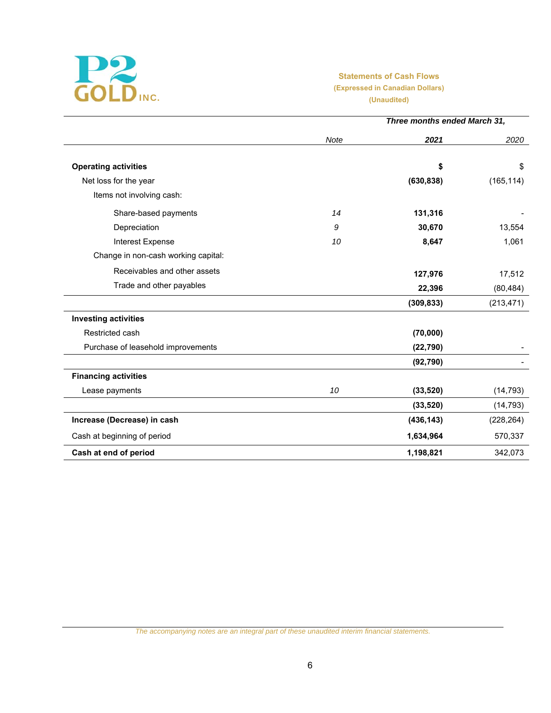

# **Statements of Cash Flows (Expressed in Canadian Dollars) (Unaudited)**

|                                     |      | Three months ended March 31, |            |
|-------------------------------------|------|------------------------------|------------|
|                                     | Note | 2021                         | 2020       |
| <b>Operating activities</b>         |      | \$                           | \$         |
| Net loss for the year               |      | (630, 838)                   | (165, 114) |
| Items not involving cash:           |      |                              |            |
| Share-based payments                | 14   | 131,316                      |            |
| Depreciation                        | 9    | 30,670                       | 13,554     |
| Interest Expense                    | 10   | 8,647                        | 1,061      |
| Change in non-cash working capital: |      |                              |            |
| Receivables and other assets        |      | 127,976                      | 17,512     |
| Trade and other payables            |      | 22,396                       | (80, 484)  |
|                                     |      | (309, 833)                   | (213, 471) |
| <b>Investing activities</b>         |      |                              |            |
| Restricted cash                     |      | (70,000)                     |            |
| Purchase of leasehold improvements  |      | (22, 790)                    |            |
|                                     |      | (92, 790)                    |            |
| <b>Financing activities</b>         |      |                              |            |
| Lease payments                      | 10   | (33, 520)                    | (14, 793)  |
|                                     |      | (33, 520)                    | (14, 793)  |
| Increase (Decrease) in cash         |      | (436, 143)                   | (228, 264) |
| Cash at beginning of period         |      | 1,634,964                    | 570,337    |
| Cash at end of period               |      | 1,198,821                    | 342,073    |

*The accompanying notes are an integral part of these unaudited interim financial statements.*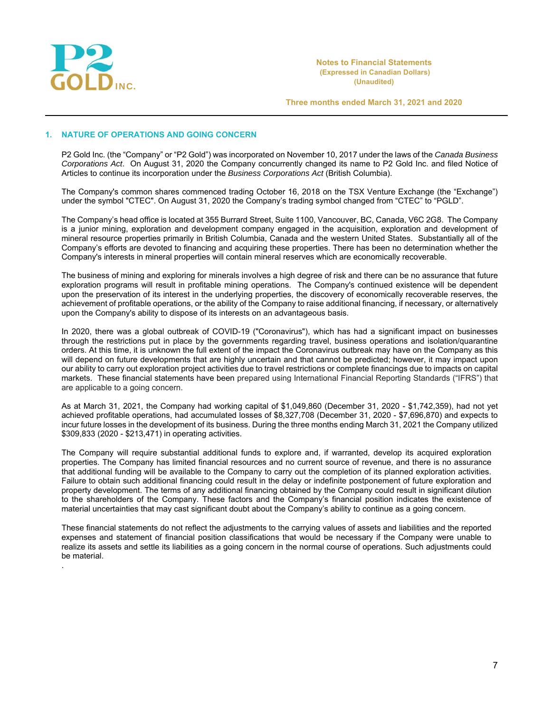

.

**Notes to Financial Statements (Expressed in Canadian Dollars) (Unaudited)** 

**Three months ended March 31, 2021 and 2020**

#### **1. NATURE OF OPERATIONS AND GOING CONCERN**

P2 Gold Inc. (the "Company" or "P2 Gold") was incorporated on November 10, 2017 under the laws of the *Canada Business Corporations Act*. On August 31, 2020 the Company concurrently changed its name to P2 Gold Inc. and filed Notice of Articles to continue its incorporation under the *Business Corporations Act* (British Columbia).

The Company's common shares commenced trading October 16, 2018 on the TSX Venture Exchange (the "Exchange") under the symbol "CTEC". On August 31, 2020 the Company's trading symbol changed from "CTEC" to "PGLD".

The Company's head office is located at 355 Burrard Street, Suite 1100, Vancouver, BC, Canada, V6C 2G8. The Company is a junior mining, exploration and development company engaged in the acquisition, exploration and development of mineral resource properties primarily in British Columbia, Canada and the western United States. Substantially all of the Company's efforts are devoted to financing and acquiring these properties. There has been no determination whether the Company's interests in mineral properties will contain mineral reserves which are economically recoverable.

The business of mining and exploring for minerals involves a high degree of risk and there can be no assurance that future exploration programs will result in profitable mining operations. The Company's continued existence will be dependent upon the preservation of its interest in the underlying properties, the discovery of economically recoverable reserves, the achievement of profitable operations, or the ability of the Company to raise additional financing, if necessary, or alternatively upon the Company's ability to dispose of its interests on an advantageous basis.

In 2020, there was a global outbreak of COVID-19 ("Coronavirus"), which has had a significant impact on businesses through the restrictions put in place by the governments regarding travel, business operations and isolation/quarantine orders. At this time, it is unknown the full extent of the impact the Coronavirus outbreak may have on the Company as this will depend on future developments that are highly uncertain and that cannot be predicted; however, it may impact upon our ability to carry out exploration project activities due to travel restrictions or complete financings due to impacts on capital markets. These financial statements have been prepared using International Financial Reporting Standards ("IFRS") that are applicable to a going concern.

As at March 31, 2021, the Company had working capital of \$1,049,860 (December 31, 2020 - \$1,742,359), had not yet achieved profitable operations, had accumulated losses of \$8,327,708 (December 31, 2020 - \$7,696,870) and expects to incur future losses in the development of its business. During the three months ending March 31, 2021 the Company utilized \$309,833 (2020 - \$213,471) in operating activities.

The Company will require substantial additional funds to explore and, if warranted, develop its acquired exploration properties. The Company has limited financial resources and no current source of revenue, and there is no assurance that additional funding will be available to the Company to carry out the completion of its planned exploration activities. Failure to obtain such additional financing could result in the delay or indefinite postponement of future exploration and property development. The terms of any additional financing obtained by the Company could result in significant dilution to the shareholders of the Company. These factors and the Company's financial position indicates the existence of material uncertainties that may cast significant doubt about the Company's ability to continue as a going concern.

These financial statements do not reflect the adjustments to the carrying values of assets and liabilities and the reported expenses and statement of financial position classifications that would be necessary if the Company were unable to realize its assets and settle its liabilities as a going concern in the normal course of operations. Such adjustments could be material.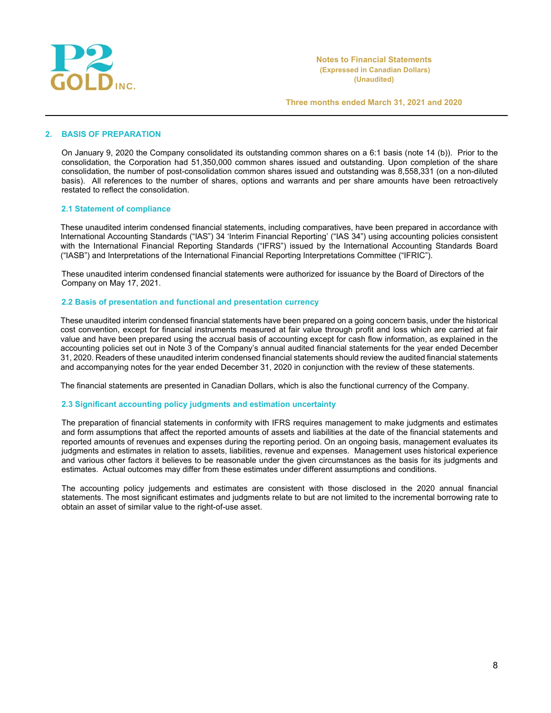

### **2. BASIS OF PREPARATION**

On January 9, 2020 the Company consolidated its outstanding common shares on a 6:1 basis (note 14 (b)). Prior to the consolidation, the Corporation had 51,350,000 common shares issued and outstanding. Upon completion of the share consolidation, the number of post-consolidation common shares issued and outstanding was 8,558,331 (on a non-diluted basis). All references to the number of shares, options and warrants and per share amounts have been retroactively restated to reflect the consolidation.

### **2.1 Statement of compliance**

These unaudited interim condensed financial statements, including comparatives, have been prepared in accordance with International Accounting Standards ("IAS") 34 'Interim Financial Reporting' ("IAS 34") using accounting policies consistent with the International Financial Reporting Standards ("IFRS") issued by the International Accounting Standards Board ("IASB") and Interpretations of the International Financial Reporting Interpretations Committee ("IFRIC").

These unaudited interim condensed financial statements were authorized for issuance by the Board of Directors of the Company on May 17, 2021.

## **2.2 Basis of presentation and functional and presentation currency**

These unaudited interim condensed financial statements have been prepared on a going concern basis, under the historical cost convention, except for financial instruments measured at fair value through profit and loss which are carried at fair value and have been prepared using the accrual basis of accounting except for cash flow information, as explained in the accounting policies set out in Note 3 of the Company's annual audited financial statements for the year ended December 31, 2020. Readers of these unaudited interim condensed financial statements should review the audited financial statements and accompanying notes for the year ended December 31, 2020 in conjunction with the review of these statements.

The financial statements are presented in Canadian Dollars, which is also the functional currency of the Company.

#### **2.3 Significant accounting policy judgments and estimation uncertainty**

The preparation of financial statements in conformity with IFRS requires management to make judgments and estimates and form assumptions that affect the reported amounts of assets and liabilities at the date of the financial statements and reported amounts of revenues and expenses during the reporting period. On an ongoing basis, management evaluates its judgments and estimates in relation to assets, liabilities, revenue and expenses. Management uses historical experience and various other factors it believes to be reasonable under the given circumstances as the basis for its judgments and estimates. Actual outcomes may differ from these estimates under different assumptions and conditions.

The accounting policy judgements and estimates are consistent with those disclosed in the 2020 annual financial statements. The most significant estimates and judgments relate to but are not limited to the incremental borrowing rate to obtain an asset of similar value to the right-of-use asset.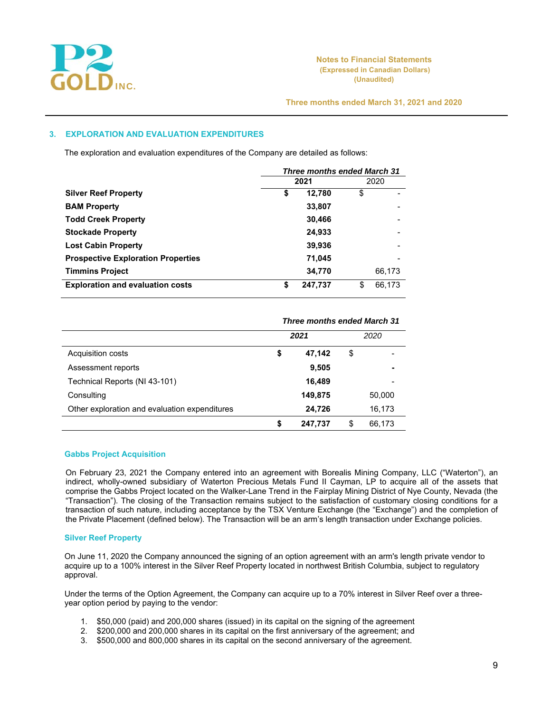

# **3. EXPLORATION AND EVALUATION EXPENDITURES**

The exploration and evaluation expenditures of the Company are detailed as follows:

|                                           | <b>Three months ended March 31</b> |         |    |        |
|-------------------------------------------|------------------------------------|---------|----|--------|
|                                           |                                    | 2021    |    | 2020   |
| <b>Silver Reef Property</b>               | \$                                 | 12,780  | \$ |        |
| <b>BAM Property</b>                       |                                    | 33,807  |    |        |
| <b>Todd Creek Property</b>                |                                    | 30,466  |    |        |
| <b>Stockade Property</b>                  |                                    | 24,933  |    |        |
| <b>Lost Cabin Property</b>                |                                    | 39,936  |    |        |
| <b>Prospective Exploration Properties</b> |                                    | 71,045  |    |        |
| <b>Timmins Project</b>                    |                                    | 34,770  |    | 66,173 |
| <b>Exploration and evaluation costs</b>   | \$                                 | 247,737 | \$ | 66,173 |

|                                               | <b>Three months ended March 31</b> |         |    |        |  |  |
|-----------------------------------------------|------------------------------------|---------|----|--------|--|--|
|                                               |                                    | 2021    |    | 2020   |  |  |
| Acquisition costs                             | \$                                 | 47,142  | \$ |        |  |  |
| Assessment reports                            |                                    | 9,505   |    |        |  |  |
| Technical Reports (NI 43-101)                 |                                    | 16,489  |    |        |  |  |
| Consulting                                    |                                    | 149,875 |    | 50,000 |  |  |
| Other exploration and evaluation expenditures |                                    | 24,726  |    | 16,173 |  |  |
|                                               | \$                                 | 247,737 | \$ | 66,173 |  |  |

#### **Gabbs Project Acquisition**

On February 23, 2021 the Company entered into an agreement with Borealis Mining Company, LLC ("Waterton"), an indirect, wholly-owned subsidiary of Waterton Precious Metals Fund II Cayman, LP to acquire all of the assets that comprise the Gabbs Project located on the Walker-Lane Trend in the Fairplay Mining District of Nye County, Nevada (the "Transaction"). The closing of the Transaction remains subject to the satisfaction of customary closing conditions for a transaction of such nature, including acceptance by the TSX Venture Exchange (the "Exchange") and the completion of the Private Placement (defined below). The Transaction will be an arm's length transaction under Exchange policies.

#### **Silver Reef Property**

On June 11, 2020 the Company announced the signing of an option agreement with an arm's length private vendor to acquire up to a 100% interest in the Silver Reef Property located in northwest British Columbia, subject to regulatory approval.

Under the terms of the Option Agreement, the Company can acquire up to a 70% interest in Silver Reef over a threeyear option period by paying to the vendor:

- 1. \$50,000 (paid) and 200,000 shares (issued) in its capital on the signing of the agreement
- 2. \$200,000 and 200,000 shares in its capital on the first anniversary of the agreement; and
- 3. \$500,000 and 800,000 shares in its capital on the second anniversary of the agreement.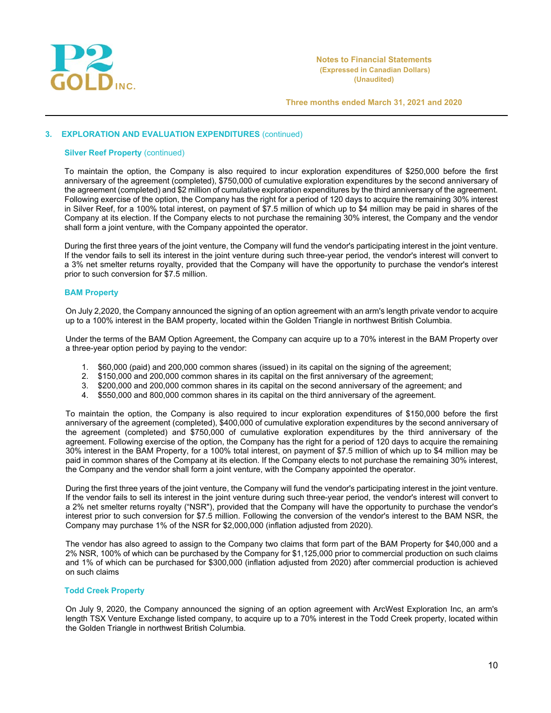

# **3. EXPLORATION AND EVALUATION EXPENDITURES** (continued)

### **Silver Reef Property (continued)**

To maintain the option, the Company is also required to incur exploration expenditures of \$250,000 before the first anniversary of the agreement (completed), \$750,000 of cumulative exploration expenditures by the second anniversary of the agreement (completed) and \$2 million of cumulative exploration expenditures by the third anniversary of the agreement. Following exercise of the option, the Company has the right for a period of 120 days to acquire the remaining 30% interest in Silver Reef, for a 100% total interest, on payment of \$7.5 million of which up to \$4 million may be paid in shares of the Company at its election. If the Company elects to not purchase the remaining 30% interest, the Company and the vendor shall form a joint venture, with the Company appointed the operator.

During the first three years of the joint venture, the Company will fund the vendor's participating interest in the joint venture. If the vendor fails to sell its interest in the joint venture during such three-year period, the vendor's interest will convert to a 3% net smelter returns royalty, provided that the Company will have the opportunity to purchase the vendor's interest prior to such conversion for \$7.5 million.

### **BAM Property**

On July 2,2020, the Company announced the signing of an option agreement with an arm's length private vendor to acquire up to a 100% interest in the BAM property, located within the Golden Triangle in northwest British Columbia.

Under the terms of the BAM Option Agreement, the Company can acquire up to a 70% interest in the BAM Property over a three-year option period by paying to the vendor:

- 1. \$60,000 (paid) and 200,000 common shares (issued) in its capital on the signing of the agreement;
- 
- 2. \$150,000 and 200,000 common shares in its capital on the first anniversary of the agreement;<br>3. \$200.000 and 200.000 common shares in its capital on the second anniversary of the agreeme \$200,000 and 200,000 common shares in its capital on the second anniversary of the agreement; and
- 4. \$550,000 and 800,000 common shares in its capital on the third anniversary of the agreement.

To maintain the option, the Company is also required to incur exploration expenditures of \$150,000 before the first anniversary of the agreement (completed), \$400,000 of cumulative exploration expenditures by the second anniversary of the agreement (completed) and \$750,000 of cumulative exploration expenditures by the third anniversary of the agreement. Following exercise of the option, the Company has the right for a period of 120 days to acquire the remaining 30% interest in the BAM Property, for a 100% total interest, on payment of \$7.5 million of which up to \$4 million may be paid in common shares of the Company at its election. If the Company elects to not purchase the remaining 30% interest, the Company and the vendor shall form a joint venture, with the Company appointed the operator.

During the first three years of the joint venture, the Company will fund the vendor's participating interest in the joint venture. If the vendor fails to sell its interest in the joint venture during such three-year period, the vendor's interest will convert to a 2% net smelter returns royalty ("NSR"), provided that the Company will have the opportunity to purchase the vendor's interest prior to such conversion for \$7.5 million. Following the conversion of the vendor's interest to the BAM NSR, the Company may purchase 1% of the NSR for \$2,000,000 (inflation adjusted from 2020).

The vendor has also agreed to assign to the Company two claims that form part of the BAM Property for \$40,000 and a 2% NSR, 100% of which can be purchased by the Company for \$1,125,000 prior to commercial production on such claims and 1% of which can be purchased for \$300,000 (inflation adjusted from 2020) after commercial production is achieved on such claims

### **Todd Creek Property**

On July 9, 2020, the Company announced the signing of an option agreement with ArcWest Exploration Inc, an arm's length TSX Venture Exchange listed company, to acquire up to a 70% interest in the Todd Creek property, located within the Golden Triangle in northwest British Columbia.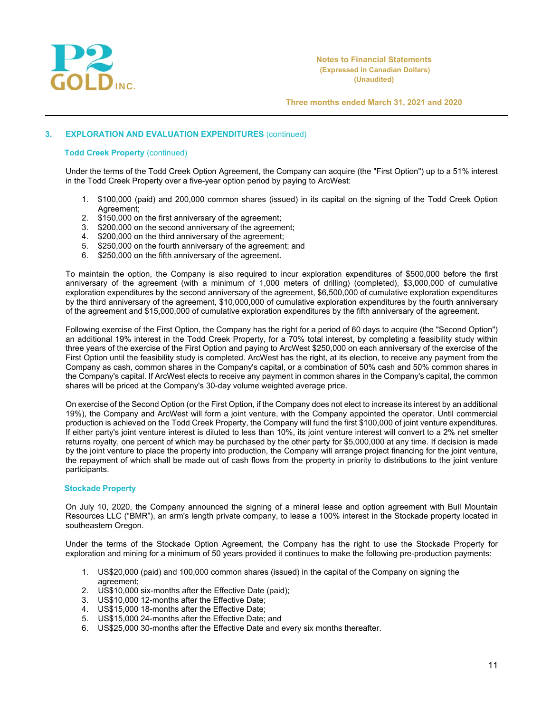

# **3. EXPLORATION AND EVALUATION EXPENDITURES** (continued)

#### **Todd Creek Property** (continued)

Under the terms of the Todd Creek Option Agreement, the Company can acquire (the "First Option") up to a 51% interest in the Todd Creek Property over a five-year option period by paying to ArcWest:

- 1. \$100,000 (paid) and 200,000 common shares (issued) in its capital on the signing of the Todd Creek Option Agreement;
- 2. \$150,000 on the first anniversary of the agreement;
- 3. \$200,000 on the second anniversary of the agreement;<br>4. \$200,000 on the third anniversary of the agreement:
- 4. \$200,000 on the third anniversary of the agreement;<br>5. \$250,000 on the fourth anniversary of the agreement
- \$250,000 on the fourth anniversary of the agreement; and
- 6. \$250,000 on the fifth anniversary of the agreement.

To maintain the option, the Company is also required to incur exploration expenditures of \$500,000 before the first anniversary of the agreement (with a minimum of 1,000 meters of drilling) (completed), \$3,000,000 of cumulative exploration expenditures by the second anniversary of the agreement, \$6,500,000 of cumulative exploration expenditures by the third anniversary of the agreement, \$10,000,000 of cumulative exploration expenditures by the fourth anniversary of the agreement and \$15,000,000 of cumulative exploration expenditures by the fifth anniversary of the agreement.

Following exercise of the First Option, the Company has the right for a period of 60 days to acquire (the "Second Option") an additional 19% interest in the Todd Creek Property, for a 70% total interest, by completing a feasibility study within three years of the exercise of the First Option and paying to ArcWest \$250,000 on each anniversary of the exercise of the First Option until the feasibility study is completed. ArcWest has the right, at its election, to receive any payment from the Company as cash, common shares in the Company's capital, or a combination of 50% cash and 50% common shares in the Company's capital. If ArcWest elects to receive any payment in common shares in the Company's capital, the common shares will be priced at the Company's 30-day volume weighted average price.

On exercise of the Second Option (or the First Option, if the Company does not elect to increase its interest by an additional 19%), the Company and ArcWest will form a joint venture, with the Company appointed the operator. Until commercial production is achieved on the Todd Creek Property, the Company will fund the first \$100,000 of joint venture expenditures. If either party's joint venture interest is diluted to less than 10%, its joint venture interest will convert to a 2% net smelter returns royalty, one percent of which may be purchased by the other party for \$5,000,000 at any time. If decision is made by the joint venture to place the property into production, the Company will arrange project financing for the joint venture, the repayment of which shall be made out of cash flows from the property in priority to distributions to the joint venture participants.

#### **Stockade Property**

On July 10, 2020, the Company announced the signing of a mineral lease and option agreement with Bull Mountain Resources LLC ("BMR"), an arm's length private company, to lease a 100% interest in the Stockade property located in southeastern Oregon.

Under the terms of the Stockade Option Agreement, the Company has the right to use the Stockade Property for exploration and mining for a minimum of 50 years provided it continues to make the following pre-production payments:

- 1. US\$20,000 (paid) and 100,000 common shares (issued) in the capital of the Company on signing the agreement;
- 2. US\$10,000 six-months after the Effective Date (paid);
- 3. US\$10,000 12-months after the Effective Date;
- 4. US\$15,000 18-months after the Effective Date;
- 5. US\$15,000 24-months after the Effective Date; and
- 6. US\$25,000 30-months after the Effective Date and every six months thereafter.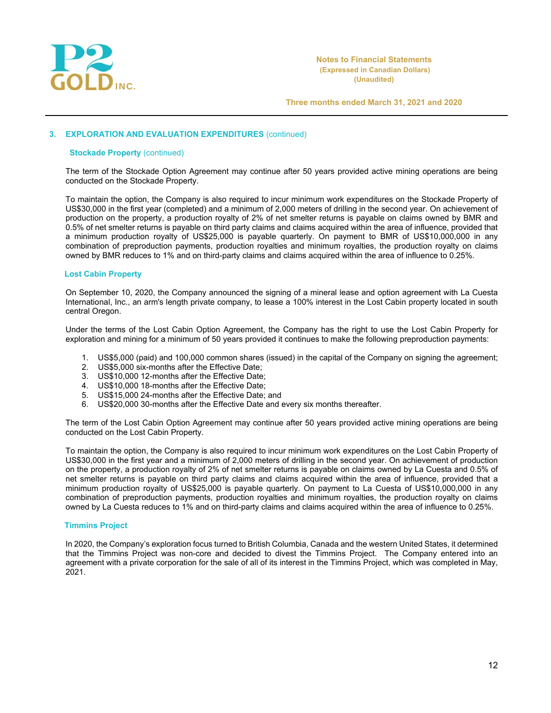

### **3. EXPLORATION AND EVALUATION EXPENDITURES** (continued)

#### **Stockade Property (continued)**

The term of the Stockade Option Agreement may continue after 50 years provided active mining operations are being conducted on the Stockade Property.

To maintain the option, the Company is also required to incur minimum work expenditures on the Stockade Property of US\$30,000 in the first year (completed) and a minimum of 2,000 meters of drilling in the second year. On achievement of production on the property, a production royalty of 2% of net smelter returns is payable on claims owned by BMR and 0.5% of net smelter returns is payable on third party claims and claims acquired within the area of influence, provided that a minimum production royalty of US\$25,000 is payable quarterly. On payment to BMR of US\$10,000,000 in any combination of preproduction payments, production royalties and minimum royalties, the production royalty on claims owned by BMR reduces to 1% and on third-party claims and claims acquired within the area of influence to 0.25%.

### **Lost Cabin Property**

On September 10, 2020, the Company announced the signing of a mineral lease and option agreement with La Cuesta International, Inc., an arm's length private company, to lease a 100% interest in the Lost Cabin property located in south central Oregon.

Under the terms of the Lost Cabin Option Agreement, the Company has the right to use the Lost Cabin Property for exploration and mining for a minimum of 50 years provided it continues to make the following preproduction payments:

- 1. US\$5,000 (paid) and 100,000 common shares (issued) in the capital of the Company on signing the agreement;
- 2. US\$5,000 six-months after the Effective Date;
- 3. US\$10,000 12-months after the Effective Date;
- 4. US\$10,000 18-months after the Effective Date;
- 5. US\$15,000 24-months after the Effective Date; and
- 6. US\$20,000 30-months after the Effective Date and every six months thereafter.

The term of the Lost Cabin Option Agreement may continue after 50 years provided active mining operations are being conducted on the Lost Cabin Property.

To maintain the option, the Company is also required to incur minimum work expenditures on the Lost Cabin Property of US\$30,000 in the first year and a minimum of 2,000 meters of drilling in the second year. On achievement of production on the property, a production royalty of 2% of net smelter returns is payable on claims owned by La Cuesta and 0.5% of net smelter returns is payable on third party claims and claims acquired within the area of influence, provided that a minimum production royalty of US\$25,000 is payable quarterly. On payment to La Cuesta of US\$10,000,000 in any combination of preproduction payments, production royalties and minimum royalties, the production royalty on claims owned by La Cuesta reduces to 1% and on third-party claims and claims acquired within the area of influence to 0.25%.

### **Timmins Project**

In 2020, the Company's exploration focus turned to British Columbia, Canada and the western United States, it determined that the Timmins Project was non-core and decided to divest the Timmins Project. The Company entered into an agreement with a private corporation for the sale of all of its interest in the Timmins Project, which was completed in May, 2021.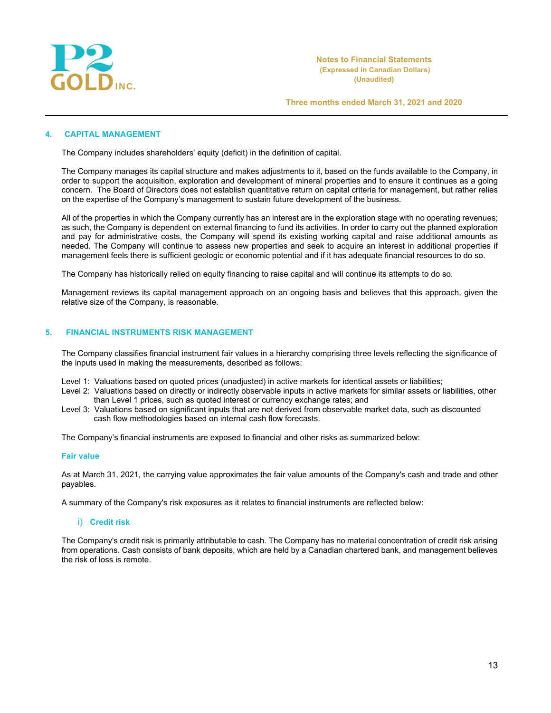

# **4. CAPITAL MANAGEMENT**

The Company includes shareholders' equity (deficit) in the definition of capital.

The Company manages its capital structure and makes adjustments to it, based on the funds available to the Company, in order to support the acquisition, exploration and development of mineral properties and to ensure it continues as a going concern. The Board of Directors does not establish quantitative return on capital criteria for management, but rather relies on the expertise of the Company's management to sustain future development of the business.

All of the properties in which the Company currently has an interest are in the exploration stage with no operating revenues; as such, the Company is dependent on external financing to fund its activities. In order to carry out the planned exploration and pay for administrative costs, the Company will spend its existing working capital and raise additional amounts as needed. The Company will continue to assess new properties and seek to acquire an interest in additional properties if management feels there is sufficient geologic or economic potential and if it has adequate financial resources to do so.

The Company has historically relied on equity financing to raise capital and will continue its attempts to do so.

Management reviews its capital management approach on an ongoing basis and believes that this approach, given the relative size of the Company, is reasonable.

# **5. FINANCIAL INSTRUMENTS RISK MANAGEMENT**

The Company classifies financial instrument fair values in a hierarchy comprising three levels reflecting the significance of the inputs used in making the measurements, described as follows:

Level 1: Valuations based on quoted prices (unadjusted) in active markets for identical assets or liabilities;

- Level 2: Valuations based on directly or indirectly observable inputs in active markets for similar assets or liabilities, other than Level 1 prices, such as quoted interest or currency exchange rates; and
- Level 3: Valuations based on significant inputs that are not derived from observable market data, such as discounted cash flow methodologies based on internal cash flow forecasts.

The Company's financial instruments are exposed to financial and other risks as summarized below:

#### **Fair value**

As at March 31, 2021, the carrying value approximates the fair value amounts of the Company's cash and trade and other payables.

A summary of the Company's risk exposures as it relates to financial instruments are reflected below:

### i) **Credit risk**

The Company's credit risk is primarily attributable to cash. The Company has no material concentration of credit risk arising from operations. Cash consists of bank deposits, which are held by a Canadian chartered bank, and management believes the risk of loss is remote.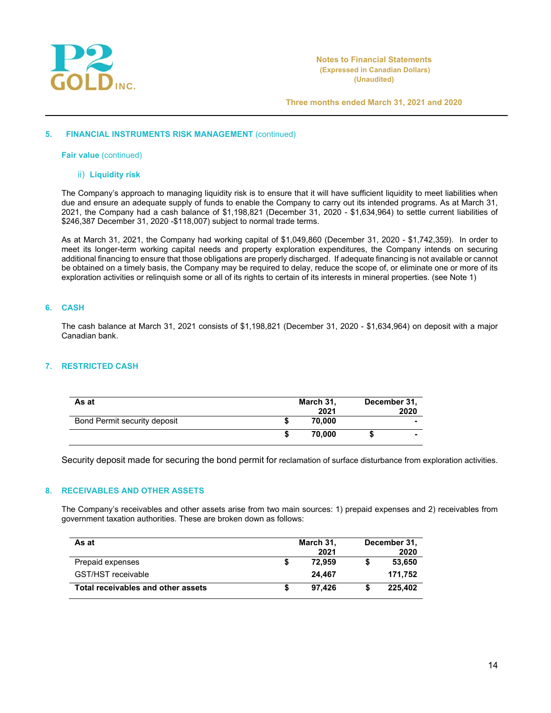

#### **5. FINANCIAL INSTRUMENTS RISK MANAGEMENT** (continued)

**Fair value** (continued)

# ii) **Liquidity risk**

The Company's approach to managing liquidity risk is to ensure that it will have sufficient liquidity to meet liabilities when due and ensure an adequate supply of funds to enable the Company to carry out its intended programs. As at March 31, 2021, the Company had a cash balance of \$1,198,821 (December 31, 2020 - \$1,634,964) to settle current liabilities of \$246,387 December 31, 2020 -\$118,007) subject to normal trade terms.

As at March 31, 2021, the Company had working capital of \$1,049,860 (December 31, 2020 - \$1,742,359). In order to meet its longer-term working capital needs and property exploration expenditures, the Company intends on securing additional financing to ensure that those obligations are properly discharged. If adequate financing is not available or cannot be obtained on a timely basis, the Company may be required to delay, reduce the scope of, or eliminate one or more of its exploration activities or relinquish some or all of its rights to certain of its interests in mineral properties. (see Note 1)

## **6. CASH**

The cash balance at March 31, 2021 consists of \$1,198,821 (December 31, 2020 - \$1,634,964) on deposit with a major Canadian bank.

# **7. RESTRICTED CASH**

| As at                        | March 31,<br>2021 | December 31, | 2020 |
|------------------------------|-------------------|--------------|------|
| Bond Permit security deposit | 70.000            |              | ۰    |
|                              | 70.000            |              |      |

Security deposit made for securing the bond permit for reclamation of surface disturbance from exploration activities.

### **8. RECEIVABLES AND OTHER ASSETS**

The Company's receivables and other assets arise from two main sources: 1) prepaid expenses and 2) receivables from government taxation authorities. These are broken down as follows:

| As at                              | March 31, |        | December 31, |
|------------------------------------|-----------|--------|--------------|
|                                    |           | 2021   | 2020         |
| Prepaid expenses                   |           | 72.959 | 53,650       |
| GST/HST receivable                 |           | 24.467 | 171.752      |
| Total receivables and other assets |           | 97.426 | 225.402      |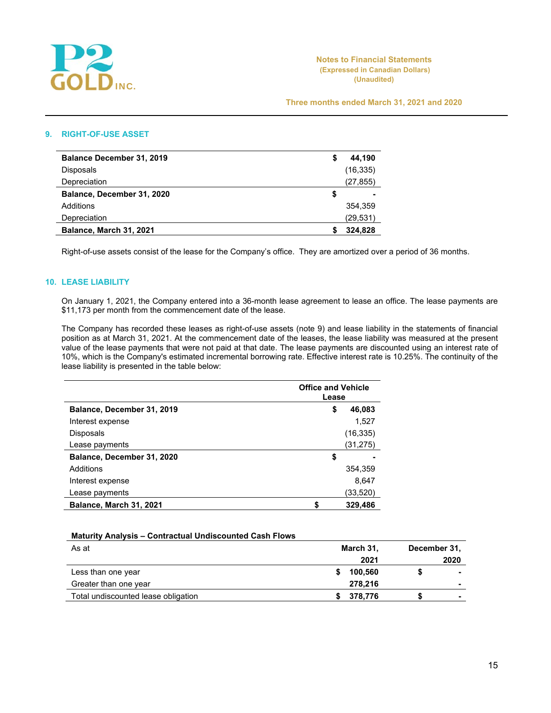

# **9. RIGHT-OF-USE ASSET**

| <b>Balance December 31, 2019</b> | \$ | 44,190    |
|----------------------------------|----|-----------|
| Disposals                        |    | (16, 335) |
| Depreciation                     |    | (27,855)  |
| Balance, December 31, 2020       | S  |           |
| Additions                        |    | 354.359   |
| <b>Depreciation</b>              |    | (29,531)  |
| Balance, March 31, 2021          |    | 324.828   |
|                                  |    |           |

Right-of-use assets consist of the lease for the Company's office. They are amortized over a period of 36 months.

# **10. LEASE LIABILITY**

On January 1, 2021, the Company entered into a 36-month lease agreement to lease an office. The lease payments are \$11,173 per month from the commencement date of the lease.

The Company has recorded these leases as right-of-use assets (note 9) and lease liability in the statements of financial position as at March 31, 2021. At the commencement date of the leases, the lease liability was measured at the present value of the lease payments that were not paid at that date. The lease payments are discounted using an interest rate of 10%, which is the Company's estimated incremental borrowing rate. Effective interest rate is 10.25%. The continuity of the lease liability is presented in the table below:

|                            | <b>Office and Vehicle</b><br>Lease |           |  |
|----------------------------|------------------------------------|-----------|--|
| Balance, December 31, 2019 | \$                                 | 46,083    |  |
| Interest expense           |                                    | 1.527     |  |
| <b>Disposals</b>           |                                    | (16, 335) |  |
| Lease payments             |                                    | (31,275)  |  |
| Balance, December 31, 2020 | \$                                 |           |  |
| Additions                  |                                    | 354,359   |  |
| Interest expense           |                                    | 8,647     |  |
| Lease payments             |                                    | (33,520)  |  |
| Balance, March 31, 2021    |                                    | 329,486   |  |

#### **Maturity Analysis – Contractual Undiscounted Cash Flows**

| As at                               | March 31, | December 31, |
|-------------------------------------|-----------|--------------|
|                                     | 2021      | 2020         |
| Less than one year                  | 100,560   |              |
| Greater than one year               | 278.216   |              |
| Total undiscounted lease obligation | 378,776   | -            |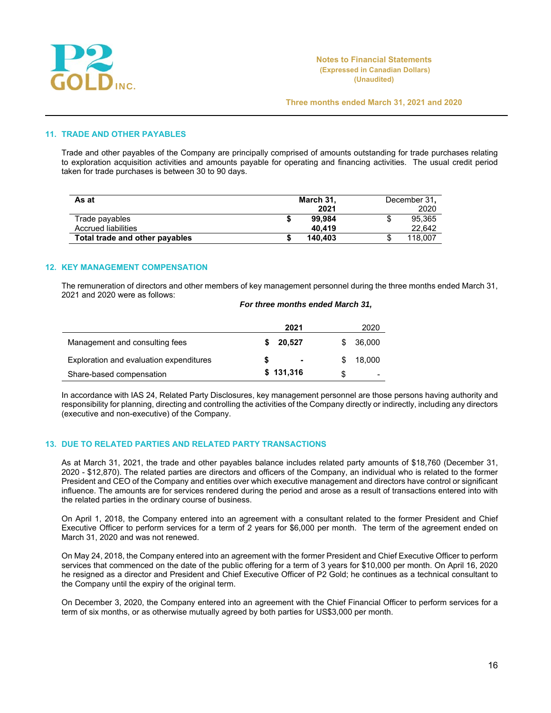

# **11. TRADE AND OTHER PAYABLES**

Trade and other payables of the Company are principally comprised of amounts outstanding for trade purchases relating to exploration acquisition activities and amounts payable for operating and financing activities. The usual credit period taken for trade purchases is between 30 to 90 days.

| As at                          | March 31, |         |    | December 31, |
|--------------------------------|-----------|---------|----|--------------|
|                                |           | 2021    |    | 2020         |
| Trade payables                 |           | 99.984  | S  | 95,365       |
| Accrued liabilities            |           | 40.419  |    | 22.642       |
| Total trade and other payables |           | 140.403 | J. | 118,007      |

# **12. KEY MANAGEMENT COMPENSATION**

The remuneration of directors and other members of key management personnel during the three months ended March 31, 2021 and 2020 were as follows:

#### *For three months ended March 31,*

|                                         | 2021           | 2020   |
|-----------------------------------------|----------------|--------|
| Management and consulting fees          | 20.527         | 36,000 |
| Exploration and evaluation expenditures | $\blacksquare$ | 18.000 |
| Share-based compensation                | \$131,316      |        |

In accordance with IAS 24, Related Party Disclosures, key management personnel are those persons having authority and responsibility for planning, directing and controlling the activities of the Company directly or indirectly, including any directors (executive and non-executive) of the Company.

### **13. DUE TO RELATED PARTIES AND RELATED PARTY TRANSACTIONS**

As at March 31, 2021, the trade and other payables balance includes related party amounts of \$18,760 (December 31, 2020 - \$12,870). The related parties are directors and officers of the Company, an individual who is related to the former President and CEO of the Company and entities over which executive management and directors have control or significant influence. The amounts are for services rendered during the period and arose as a result of transactions entered into with the related parties in the ordinary course of business.

On April 1, 2018, the Company entered into an agreement with a consultant related to the former President and Chief Executive Officer to perform services for a term of 2 years for \$6,000 per month. The term of the agreement ended on March 31, 2020 and was not renewed.

On May 24, 2018, the Company entered into an agreement with the former President and Chief Executive Officer to perform services that commenced on the date of the public offering for a term of 3 years for \$10,000 per month. On April 16, 2020 he resigned as a director and President and Chief Executive Officer of P2 Gold; he continues as a technical consultant to the Company until the expiry of the original term.

On December 3, 2020, the Company entered into an agreement with the Chief Financial Officer to perform services for a term of six months, or as otherwise mutually agreed by both parties for US\$3,000 per month.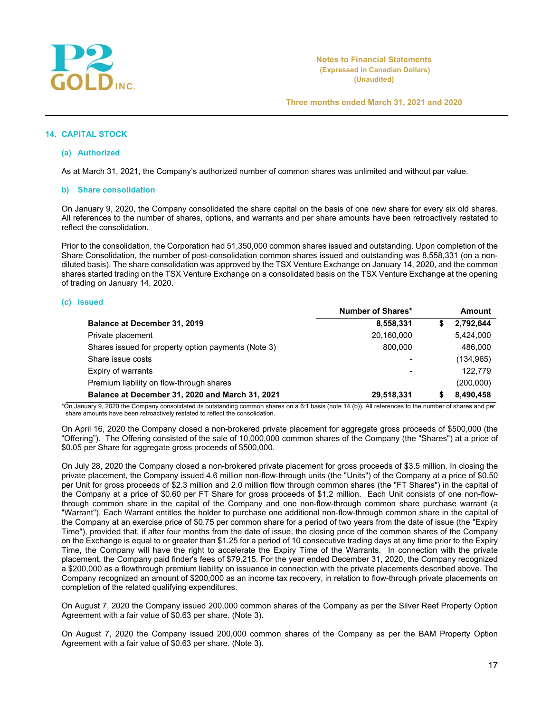

### **14. CAPITAL STOCK**

#### **(a) Authorized**

As at March 31, 2021, the Company's authorized number of common shares was unlimited and without par value.

#### **b) Share consolidation**

On January 9, 2020, the Company consolidated the share capital on the basis of one new share for every six old shares. All references to the number of shares, options, and warrants and per share amounts have been retroactively restated to reflect the consolidation.

Prior to the consolidation, the Corporation had 51,350,000 common shares issued and outstanding. Upon completion of the Share Consolidation, the number of post-consolidation common shares issued and outstanding was 8,558,331 (on a nondiluted basis). The share consolidation was approved by the TSX Venture Exchange on January 14, 2020, and the common shares started trading on the TSX Venture Exchange on a consolidated basis on the TSX Venture Exchange at the opening of trading on January 14, 2020.

#### **(c) Issued**

|                                                     | Number of Shares*        |   | <b>Amount</b> |
|-----------------------------------------------------|--------------------------|---|---------------|
| Balance at December 31, 2019                        | 8,558,331                | S | 2,792,644     |
| Private placement                                   | 20,160,000               |   | 5,424,000     |
| Shares issued for property option payments (Note 3) | 800.000                  |   | 486,000       |
| Share issue costs                                   |                          |   | (134, 965)    |
| Expiry of warrants                                  | $\overline{\phantom{0}}$ |   | 122.779       |
| Premium liability on flow-through shares            |                          |   | (200,000)     |
| Balance at December 31, 2020 and March 31, 2021     | 29,518,331               |   | 8,490,458     |

\*On January 9, 2020 the Company consolidated its outstanding common shares on a 6:1 basis (note 14 (b)). All references to the number of shares and per share amounts have been retroactively restated to reflect the consolidation.

On April 16, 2020 the Company closed a non-brokered private placement for aggregate gross proceeds of \$500,000 (the "Offering"). The Offering consisted of the sale of 10,000,000 common shares of the Company (the "Shares") at a price of \$0.05 per Share for aggregate gross proceeds of \$500,000.

On July 28, 2020 the Company closed a non-brokered private placement for gross proceeds of \$3.5 million. In closing the private placement, the Company issued 4.6 million non-flow-through units (the "Units") of the Company at a price of \$0.50 per Unit for gross proceeds of \$2.3 million and 2.0 million flow through common shares (the "FT Shares") in the capital of the Company at a price of \$0.60 per FT Share for gross proceeds of \$1.2 million. Each Unit consists of one non-flowthrough common share in the capital of the Company and one non-flow-through common share purchase warrant (a "Warrant"). Each Warrant entitles the holder to purchase one additional non-flow-through common share in the capital of the Company at an exercise price of \$0.75 per common share for a period of two years from the date of issue (the "Expiry Time"), provided that, if after four months from the date of issue, the closing price of the common shares of the Company on the Exchange is equal to or greater than \$1.25 for a period of 10 consecutive trading days at any time prior to the Expiry Time, the Company will have the right to accelerate the Expiry Time of the Warrants. In connection with the private placement, the Company paid finder's fees of \$79,215. For the year ended December 31, 2020, the Company recognized a \$200,000 as a flowthrough premium liability on issuance in connection with the private placements described above. The Company recognized an amount of \$200,000 as an income tax recovery, in relation to flow-through private placements on completion of the related qualifying expenditures.

On August 7, 2020 the Company issued 200,000 common shares of the Company as per the Silver Reef Property Option Agreement with a fair value of \$0.63 per share. (Note 3).

On August 7, 2020 the Company issued 200,000 common shares of the Company as per the BAM Property Option Agreement with a fair value of \$0.63 per share. (Note 3).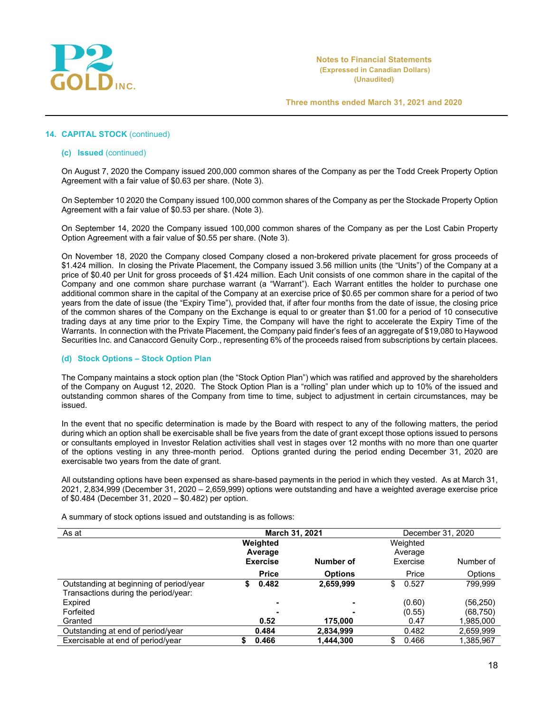

# **14. CAPITAL STOCK** (continued)

#### **(c) Issued** (continued)

On August 7, 2020 the Company issued 200,000 common shares of the Company as per the Todd Creek Property Option Agreement with a fair value of \$0.63 per share. (Note 3).

On September 10 2020 the Company issued 100,000 common shares of the Company as per the Stockade Property Option Agreement with a fair value of \$0.53 per share. (Note 3).

On September 14, 2020 the Company issued 100,000 common shares of the Company as per the Lost Cabin Property Option Agreement with a fair value of \$0.55 per share. (Note 3).

On November 18, 2020 the Company closed Company closed a non-brokered private placement for gross proceeds of \$1.424 million. In closing the Private Placement, the Company issued 3.56 million units (the "Units") of the Company at a price of \$0.40 per Unit for gross proceeds of \$1.424 million. Each Unit consists of one common share in the capital of the Company and one common share purchase warrant (a "Warrant"). Each Warrant entitles the holder to purchase one additional common share in the capital of the Company at an exercise price of \$0.65 per common share for a period of two years from the date of issue (the "Expiry Time"), provided that, if after four months from the date of issue, the closing price of the common shares of the Company on the Exchange is equal to or greater than \$1.00 for a period of 10 consecutive trading days at any time prior to the Expiry Time, the Company will have the right to accelerate the Expiry Time of the Warrants. In connection with the Private Placement, the Company paid finder's fees of an aggregate of \$19,080 to Haywood Securities Inc. and Canaccord Genuity Corp., representing 6% of the proceeds raised from subscriptions by certain placees.

### **(d) Stock Options – Stock Option Plan**

The Company maintains a stock option plan (the "Stock Option Plan") which was ratified and approved by the shareholders of the Company on August 12, 2020. The Stock Option Plan is a "rolling" plan under which up to 10% of the issued and outstanding common shares of the Company from time to time, subject to adjustment in certain circumstances, may be issued.

In the event that no specific determination is made by the Board with respect to any of the following matters, the period during which an option shall be exercisable shall be five years from the date of grant except those options issued to persons or consultants employed in Investor Relation activities shall vest in stages over 12 months with no more than one quarter of the options vesting in any three-month period. Options granted during the period ending December 31, 2020 are exercisable two years from the date of grant.

All outstanding options have been expensed as share-based payments in the period in which they vested. As at March 31, 2021, 2,834,999 (December 31, 2020 – 2,659,999) options were outstanding and have a weighted average exercise price of \$0.484 (December 31, 2020 – \$0.482) per option.

A summary of stock options issued and outstanding is as follows:

| As at                                   | March 31, 2021             |                | December 31, 2020   |           |  |
|-----------------------------------------|----------------------------|----------------|---------------------|-----------|--|
|                                         | Weighted                   |                | Weighted            |           |  |
|                                         | Average<br><b>Exercise</b> | Number of      | Average<br>Exercise | Number of |  |
|                                         |                            |                |                     |           |  |
|                                         | <b>Price</b>               | <b>Options</b> | Price               | Options   |  |
| Outstanding at beginning of period/year | 0.482<br>S                 | 2,659,999      | \$<br>0.527         | 799,999   |  |
| Transactions during the period/year:    |                            |                |                     |           |  |
| Expired                                 |                            |                | (0.60)              | (56, 250) |  |
| Forfeited                               |                            |                | (0.55)              | (68, 750) |  |
| Granted                                 | 0.52                       | 175,000        | 0.47                | 1,985,000 |  |
| Outstanding at end of period/year       | 0.484                      | 2,834,999      | 0.482               | 2,659,999 |  |
| Exercisable at end of period/year       | 0.466                      | 1,444,300      | 0.466<br>\$         | 1,385,967 |  |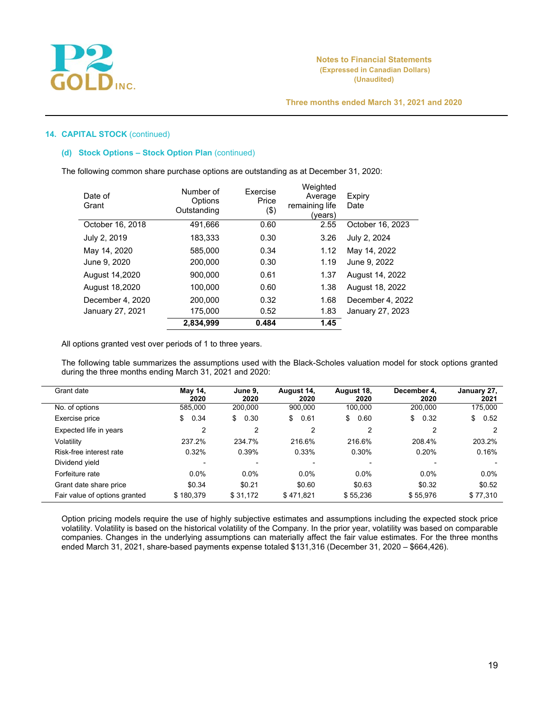

# **14. CAPITAL STOCK** (continued)

# **(d) Stock Options – Stock Option Plan** (continued)

The following common share purchase options are outstanding as at December 31, 2020:

| Date of<br>Grant | Number of<br>Options<br>Outstanding | <b>Fxercise</b><br>Price<br>(3) | Weighted<br>Average<br>remaining life<br>(years) | Expiry<br>Date   |
|------------------|-------------------------------------|---------------------------------|--------------------------------------------------|------------------|
| October 16, 2018 | 491.666                             | 0.60                            | 2.55                                             | October 16, 2023 |
| July 2, 2019     | 183.333                             | 0.30                            | 3.26                                             | July 2, 2024     |
| May 14, 2020     | 585,000                             | 0.34                            | 1.12                                             | May 14, 2022     |
| June 9, 2020     | 200.000                             | 0.30                            | 1.19                                             | June 9, 2022     |
| August 14,2020   | 900.000                             | 0.61                            | 1.37                                             | August 14, 2022  |
| August 18,2020   | 100.000                             | 0.60                            | 1.38                                             | August 18, 2022  |
| December 4, 2020 | 200.000                             | 0.32                            | 1.68                                             | December 4, 2022 |
| January 27, 2021 | 175.000                             | 0.52                            | 1.83                                             | January 27, 2023 |
|                  | 2,834,999                           | 0.484                           | 1.45                                             |                  |

All options granted vest over periods of 1 to three years.

The following table summarizes the assumptions used with the Black-Scholes valuation model for stock options granted during the three months ending March 31, 2021 and 2020:

| Grant date                    | May 14,<br>2020 | June 9.<br>2020 | August 14,<br>2020 | August 18,<br>2020 | December 4.<br>2020 | January 27,<br>2021 |
|-------------------------------|-----------------|-----------------|--------------------|--------------------|---------------------|---------------------|
| No. of options                | 585.000         | 200,000         | 900,000            | 100.000            | 200,000             | 175,000             |
| Exercise price                | 0.34<br>\$      | \$<br>0.30      | \$<br>0.61         | \$<br>0.60         | \$<br>0.32          | \$<br>0.52          |
| Expected life in years        | 2               | 2               | 2                  | 2                  | 2                   |                     |
| Volatility                    | 237.2%          | 234.7%          | 216.6%             | 216.6%             | 208.4%              | 203.2%              |
| Risk-free interest rate       | 0.32%           | 0.39%           | 0.33%              | 0.30%              | 0.20%               | 0.16%               |
| Dividend yield                | $\blacksquare$  |                 |                    |                    |                     |                     |
| Forfeiture rate               | $0.0\%$         | $0.0\%$         | $0.0\%$            | $0.0\%$            | $0.0\%$             | $0.0\%$             |
| Grant date share price        | \$0.34          | \$0.21          | \$0.60             | \$0.63             | \$0.32              | \$0.52              |
| Fair value of options granted | \$180.379       | \$31,172        | \$471.821          | \$55.236           | \$55,976            | \$77,310            |

Option pricing models require the use of highly subjective estimates and assumptions including the expected stock price volatility. Volatility is based on the historical volatility of the Company. In the prior year, volatility was based on comparable companies. Changes in the underlying assumptions can materially affect the fair value estimates. For the three months ended March 31, 2021, share-based payments expense totaled \$131,316 (December 31, 2020 – \$664,426).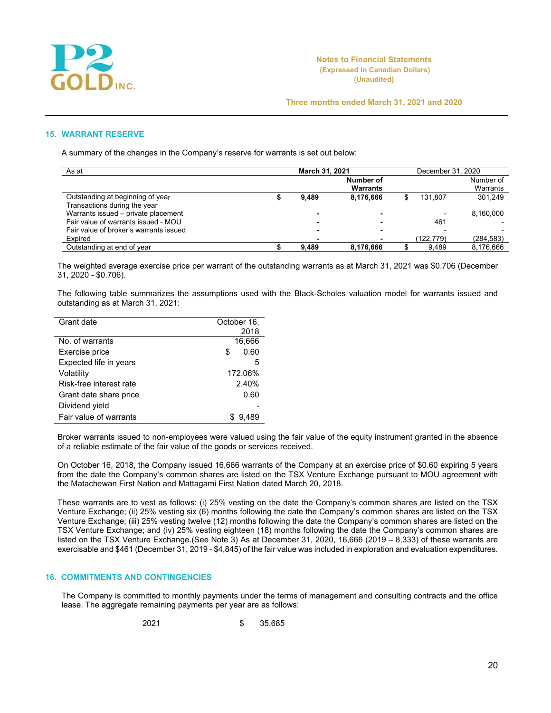

#### **15. WARRANT RESERVE**

A summary of the changes in the Company's reserve for warrants is set out below:

| As at                                  | March 31, 2021 |       |           | December 31, 2020 |           |            |
|----------------------------------------|----------------|-------|-----------|-------------------|-----------|------------|
|                                        |                |       | Number of |                   |           | Number of  |
|                                        |                |       | Warrants  |                   |           | Warrants   |
| Outstanding at beginning of year       |                | 9.489 | 8,176,666 |                   | 131.807   | 301.249    |
| Transactions during the year           |                |       |           |                   |           |            |
| Warrants issued - private placement    |                |       |           |                   |           | 8,160,000  |
| Fair value of warrants issued - MOU    |                |       | -         |                   | 461       |            |
| Fair value of broker's warrants issued |                |       | ۰         |                   |           |            |
| Expired                                |                |       |           |                   | (122.779) | (284, 583) |
| Outstanding at end of year             |                | 9.489 | 8,176,666 |                   | 9.489     | 8.176.666  |

The weighted average exercise price per warrant of the outstanding warrants as at March 31, 2021 was \$0.706 (December 31, 2020 - \$0.706).

The following table summarizes the assumptions used with the Black-Scholes valuation model for warrants issued and outstanding as at March 31, 2021:

| Grant date              | October 16, |
|-------------------------|-------------|
|                         | 2018        |
| No. of warrants         | 16,666      |
| Exercise price          | 0.60<br>S   |
| Expected life in years  | 5           |
| Volatility              | 172.06%     |
| Risk-free interest rate | 2.40%       |
| Grant date share price  | 0.60        |
| Dividend yield          |             |
| Fair value of warrants  | 9,489       |

Broker warrants issued to non-employees were valued using the fair value of the equity instrument granted in the absence of a reliable estimate of the fair value of the goods or services received.

On October 16, 2018, the Company issued 16,666 warrants of the Company at an exercise price of \$0.60 expiring 5 years from the date the Company's common shares are listed on the TSX Venture Exchange pursuant to MOU agreement with the Matachewan First Nation and Mattagami First Nation dated March 20, 2018.

These warrants are to vest as follows: (i) 25% vesting on the date the Company's common shares are listed on the TSX Venture Exchange; (ii) 25% vesting six (6) months following the date the Company's common shares are listed on the TSX Venture Exchange; (iii) 25% vesting twelve (12) months following the date the Company's common shares are listed on the TSX Venture Exchange; and (iv) 25% vesting eighteen (18) months following the date the Company's common shares are listed on the TSX Venture Exchange.(See Note 3) As at December 31, 2020, 16,666 (2019 – 8,333) of these warrants are exercisable and \$461 (December 31, 2019 - \$4,845) of the fair value was included in exploration and evaluation expenditures.

# **16. COMMITMENTS AND CONTINGENCIES**

The Company is committed to monthly payments under the terms of management and consulting contracts and the office lease. The aggregate remaining payments per year are as follows:

$$
2021 \qquad \qquad \$\qquad 35,685
$$